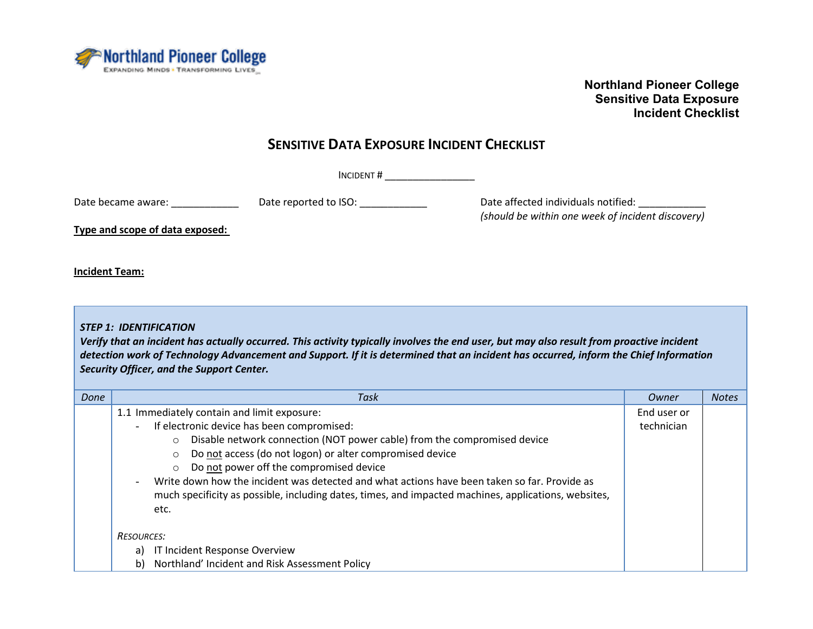

### **SENSITIVE DATA EXPOSURE INCIDENT CHECKLIST**

INCIDENT # \_\_\_\_\_\_\_\_\_\_\_\_\_\_\_\_

Date became aware: \_\_\_\_\_\_\_\_\_\_\_\_\_\_\_\_ Date reported to ISO: \_\_\_\_\_\_\_\_\_\_\_\_\_\_\_\_\_\_\_\_\_\_ Date affected individuals notified: \_\_\_\_\_\_\_\_\_\_\_\_\_\_\_\_\_

*(should be within one week of incident discovery)*

**Type and scope of data exposed:** 

**Incident Team:**

*STEP 1: IDENTIFICATION*

*Verify that an incident has actually occurred. This activity typically involves the end user, but may also result from proactive incident detection work of Technology Advancement and Support. If it is determined that an incident has occurred, inform the Chief Information Security Officer, and the Support Center.*

| Done | Task                                                                                                 | Owner       | <b>Notes</b> |
|------|------------------------------------------------------------------------------------------------------|-------------|--------------|
|      | 1.1 Immediately contain and limit exposure:                                                          | End user or |              |
|      | If electronic device has been compromised:<br>$\equiv$                                               | technician  |              |
|      | Disable network connection (NOT power cable) from the compromised device<br>$\Omega$                 |             |              |
|      | Do not access (do not logon) or alter compromised device<br>$\circ$                                  |             |              |
|      | Do not power off the compromised device<br>$\circ$                                                   |             |              |
|      | Write down how the incident was detected and what actions have been taken so far. Provide as         |             |              |
|      | much specificity as possible, including dates, times, and impacted machines, applications, websites, |             |              |
|      | etc.                                                                                                 |             |              |
|      |                                                                                                      |             |              |
|      | <b>RESOURCES:</b>                                                                                    |             |              |
|      | IT Incident Response Overview<br>a)                                                                  |             |              |
|      | Northland' Incident and Risk Assessment Policy<br>b)                                                 |             |              |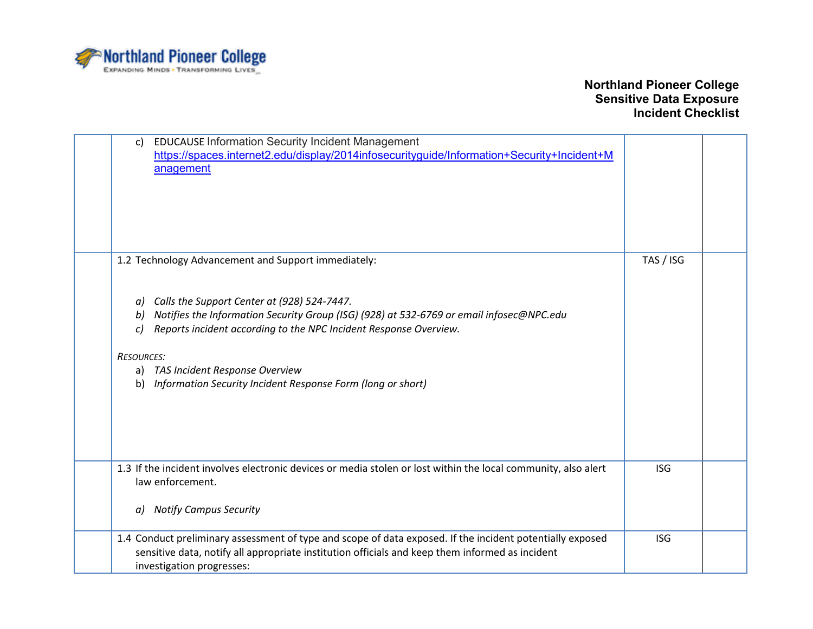

| <b>EDUCAUSE Information Security Incident Management</b><br>$\mathsf{c}$<br>https://spaces.internet2.edu/display/2014infosecurityguide/Information+Security+Incident+M<br>anagement                                                                                                                                                                                                                                  |            |  |
|----------------------------------------------------------------------------------------------------------------------------------------------------------------------------------------------------------------------------------------------------------------------------------------------------------------------------------------------------------------------------------------------------------------------|------------|--|
| 1.2 Technology Advancement and Support immediately:<br>Calls the Support Center at (928) 524-7447.<br>a)<br>Notifies the Information Security Group (ISG) (928) at 532-6769 or email infosec@NPC.edu<br>b)<br>Reports incident according to the NPC Incident Response Overview.<br>c)<br><b>RESOURCES:</b><br>a) TAS Incident Response Overview<br>Information Security Incident Response Form (long or short)<br>b) | TAS / ISG  |  |
| 1.3 If the incident involves electronic devices or media stolen or lost within the local community, also alert<br>law enforcement.<br><b>Notify Campus Security</b><br>a)                                                                                                                                                                                                                                            | <b>ISG</b> |  |
| 1.4 Conduct preliminary assessment of type and scope of data exposed. If the incident potentially exposed<br>sensitive data, notify all appropriate institution officials and keep them informed as incident<br>investigation progresses:                                                                                                                                                                            | <b>ISG</b> |  |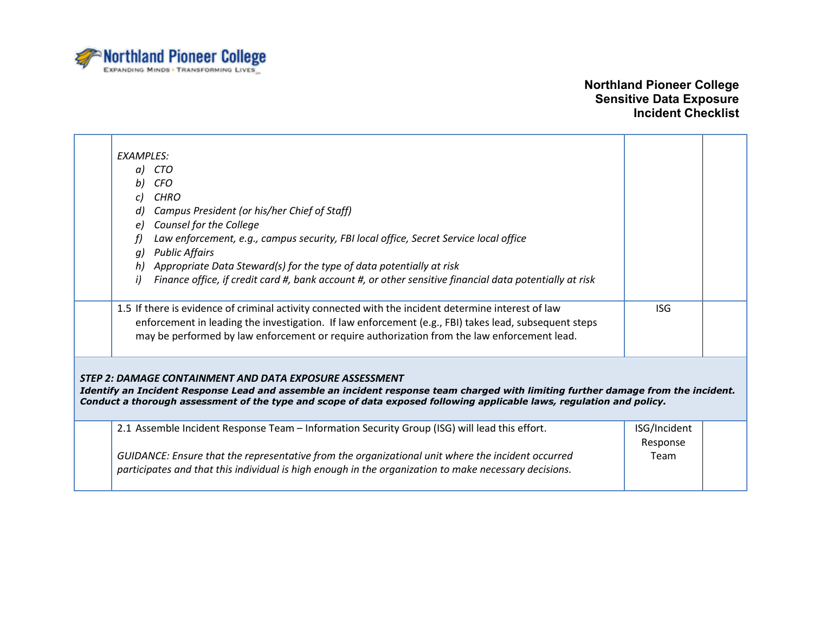

| <b>FXAMPLES:</b><br>CTO<br>a)<br>CFO<br>b)<br>CHRO<br>Campus President (or his/her Chief of Staff)                                                                                                                                                                                                                    |                          |  |  |
|-----------------------------------------------------------------------------------------------------------------------------------------------------------------------------------------------------------------------------------------------------------------------------------------------------------------------|--------------------------|--|--|
| Counsel for the College<br>Law enforcement, e.g., campus security, FBI local office, Secret Service local office                                                                                                                                                                                                      |                          |  |  |
| <b>Public Affairs</b><br>a)<br>Appropriate Data Steward(s) for the type of data potentially at risk<br>h)                                                                                                                                                                                                             |                          |  |  |
| Finance office, if credit card #, bank account #, or other sensitive financial data potentially at risk<br>i)                                                                                                                                                                                                         |                          |  |  |
| 1.5 If there is evidence of criminal activity connected with the incident determine interest of law<br>enforcement in leading the investigation. If law enforcement (e.g., FBI) takes lead, subsequent steps<br>may be performed by law enforcement or require authorization from the law enforcement lead.           | <b>ISG</b>               |  |  |
| STEP 2: DAMAGE CONTAINMENT AND DATA EXPOSURE ASSESSMENT<br>Identify an Incident Response Lead and assemble an incident response team charged with limiting further damage from the incident.<br>Conduct a thorough assessment of the type and scope of data exposed following applicable laws, regulation and policy. |                          |  |  |
| 2.1 Assemble Incident Response Team - Information Security Group (ISG) will lead this effort.                                                                                                                                                                                                                         | ISG/Incident<br>Response |  |  |
| GUIDANCE: Ensure that the representative from the organizational unit where the incident occurred<br>participates and that this individual is high enough in the organization to make necessary decisions.                                                                                                            | Team                     |  |  |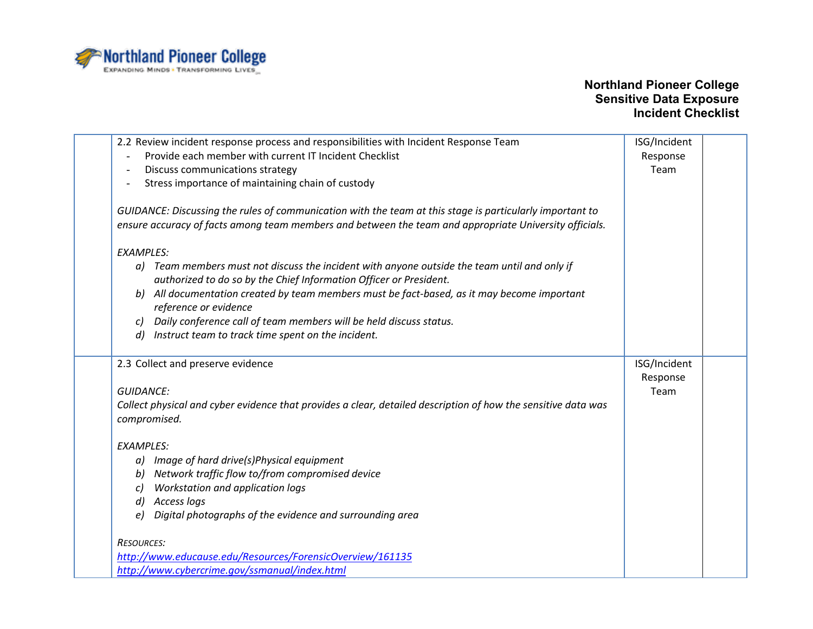

| Provide each member with current IT Incident Checklist<br>Response<br>$\blacksquare$<br>Discuss communications strategy<br>Team<br>$\overline{\phantom{a}}$<br>Stress importance of maintaining chain of custody<br>GUIDANCE: Discussing the rules of communication with the team at this stage is particularly important to<br>ensure accuracy of facts among team members and between the team and appropriate University officials.<br><b>EXAMPLES:</b><br>a) Team members must not discuss the incident with anyone outside the team until and only if<br>authorized to do so by the Chief Information Officer or President.<br>All documentation created by team members must be fact-based, as it may become important<br>b)<br>reference or evidence<br>Daily conference call of team members will be held discuss status.<br>C)<br>Instruct team to track time spent on the incident.<br>$\left( d \right)$<br>ISG/Incident<br>2.3 Collect and preserve evidence<br>Response<br><b>GUIDANCE:</b><br>Team<br>Collect physical and cyber evidence that provides a clear, detailed description of how the sensitive data was<br>compromised.<br><b>EXAMPLES:</b><br>a) Image of hard drive(s)Physical equipment<br>Network traffic flow to/from compromised device<br>bl<br>Workstation and application logs<br>C)<br>d) Access logs<br>Digital photographs of the evidence and surrounding area<br>e)<br><b>RESOURCES:</b><br>http://www.educause.edu/Resources/ForensicOverview/161135 | 2.2 Review incident response process and responsibilities with Incident Response Team | ISG/Incident |  |
|-----------------------------------------------------------------------------------------------------------------------------------------------------------------------------------------------------------------------------------------------------------------------------------------------------------------------------------------------------------------------------------------------------------------------------------------------------------------------------------------------------------------------------------------------------------------------------------------------------------------------------------------------------------------------------------------------------------------------------------------------------------------------------------------------------------------------------------------------------------------------------------------------------------------------------------------------------------------------------------------------------------------------------------------------------------------------------------------------------------------------------------------------------------------------------------------------------------------------------------------------------------------------------------------------------------------------------------------------------------------------------------------------------------------------------------------------------------------------------------------------|---------------------------------------------------------------------------------------|--------------|--|
|                                                                                                                                                                                                                                                                                                                                                                                                                                                                                                                                                                                                                                                                                                                                                                                                                                                                                                                                                                                                                                                                                                                                                                                                                                                                                                                                                                                                                                                                                               |                                                                                       |              |  |
|                                                                                                                                                                                                                                                                                                                                                                                                                                                                                                                                                                                                                                                                                                                                                                                                                                                                                                                                                                                                                                                                                                                                                                                                                                                                                                                                                                                                                                                                                               |                                                                                       |              |  |
|                                                                                                                                                                                                                                                                                                                                                                                                                                                                                                                                                                                                                                                                                                                                                                                                                                                                                                                                                                                                                                                                                                                                                                                                                                                                                                                                                                                                                                                                                               |                                                                                       |              |  |
|                                                                                                                                                                                                                                                                                                                                                                                                                                                                                                                                                                                                                                                                                                                                                                                                                                                                                                                                                                                                                                                                                                                                                                                                                                                                                                                                                                                                                                                                                               |                                                                                       |              |  |
|                                                                                                                                                                                                                                                                                                                                                                                                                                                                                                                                                                                                                                                                                                                                                                                                                                                                                                                                                                                                                                                                                                                                                                                                                                                                                                                                                                                                                                                                                               |                                                                                       |              |  |
|                                                                                                                                                                                                                                                                                                                                                                                                                                                                                                                                                                                                                                                                                                                                                                                                                                                                                                                                                                                                                                                                                                                                                                                                                                                                                                                                                                                                                                                                                               |                                                                                       |              |  |
|                                                                                                                                                                                                                                                                                                                                                                                                                                                                                                                                                                                                                                                                                                                                                                                                                                                                                                                                                                                                                                                                                                                                                                                                                                                                                                                                                                                                                                                                                               |                                                                                       |              |  |
|                                                                                                                                                                                                                                                                                                                                                                                                                                                                                                                                                                                                                                                                                                                                                                                                                                                                                                                                                                                                                                                                                                                                                                                                                                                                                                                                                                                                                                                                                               |                                                                                       |              |  |
|                                                                                                                                                                                                                                                                                                                                                                                                                                                                                                                                                                                                                                                                                                                                                                                                                                                                                                                                                                                                                                                                                                                                                                                                                                                                                                                                                                                                                                                                                               |                                                                                       |              |  |
|                                                                                                                                                                                                                                                                                                                                                                                                                                                                                                                                                                                                                                                                                                                                                                                                                                                                                                                                                                                                                                                                                                                                                                                                                                                                                                                                                                                                                                                                                               |                                                                                       |              |  |
|                                                                                                                                                                                                                                                                                                                                                                                                                                                                                                                                                                                                                                                                                                                                                                                                                                                                                                                                                                                                                                                                                                                                                                                                                                                                                                                                                                                                                                                                                               |                                                                                       |              |  |
|                                                                                                                                                                                                                                                                                                                                                                                                                                                                                                                                                                                                                                                                                                                                                                                                                                                                                                                                                                                                                                                                                                                                                                                                                                                                                                                                                                                                                                                                                               |                                                                                       |              |  |
|                                                                                                                                                                                                                                                                                                                                                                                                                                                                                                                                                                                                                                                                                                                                                                                                                                                                                                                                                                                                                                                                                                                                                                                                                                                                                                                                                                                                                                                                                               |                                                                                       |              |  |
|                                                                                                                                                                                                                                                                                                                                                                                                                                                                                                                                                                                                                                                                                                                                                                                                                                                                                                                                                                                                                                                                                                                                                                                                                                                                                                                                                                                                                                                                                               |                                                                                       |              |  |
|                                                                                                                                                                                                                                                                                                                                                                                                                                                                                                                                                                                                                                                                                                                                                                                                                                                                                                                                                                                                                                                                                                                                                                                                                                                                                                                                                                                                                                                                                               |                                                                                       |              |  |
|                                                                                                                                                                                                                                                                                                                                                                                                                                                                                                                                                                                                                                                                                                                                                                                                                                                                                                                                                                                                                                                                                                                                                                                                                                                                                                                                                                                                                                                                                               |                                                                                       |              |  |
|                                                                                                                                                                                                                                                                                                                                                                                                                                                                                                                                                                                                                                                                                                                                                                                                                                                                                                                                                                                                                                                                                                                                                                                                                                                                                                                                                                                                                                                                                               |                                                                                       |              |  |
|                                                                                                                                                                                                                                                                                                                                                                                                                                                                                                                                                                                                                                                                                                                                                                                                                                                                                                                                                                                                                                                                                                                                                                                                                                                                                                                                                                                                                                                                                               |                                                                                       |              |  |
|                                                                                                                                                                                                                                                                                                                                                                                                                                                                                                                                                                                                                                                                                                                                                                                                                                                                                                                                                                                                                                                                                                                                                                                                                                                                                                                                                                                                                                                                                               |                                                                                       |              |  |
|                                                                                                                                                                                                                                                                                                                                                                                                                                                                                                                                                                                                                                                                                                                                                                                                                                                                                                                                                                                                                                                                                                                                                                                                                                                                                                                                                                                                                                                                                               |                                                                                       |              |  |
|                                                                                                                                                                                                                                                                                                                                                                                                                                                                                                                                                                                                                                                                                                                                                                                                                                                                                                                                                                                                                                                                                                                                                                                                                                                                                                                                                                                                                                                                                               |                                                                                       |              |  |
|                                                                                                                                                                                                                                                                                                                                                                                                                                                                                                                                                                                                                                                                                                                                                                                                                                                                                                                                                                                                                                                                                                                                                                                                                                                                                                                                                                                                                                                                                               |                                                                                       |              |  |
|                                                                                                                                                                                                                                                                                                                                                                                                                                                                                                                                                                                                                                                                                                                                                                                                                                                                                                                                                                                                                                                                                                                                                                                                                                                                                                                                                                                                                                                                                               |                                                                                       |              |  |
|                                                                                                                                                                                                                                                                                                                                                                                                                                                                                                                                                                                                                                                                                                                                                                                                                                                                                                                                                                                                                                                                                                                                                                                                                                                                                                                                                                                                                                                                                               |                                                                                       |              |  |
|                                                                                                                                                                                                                                                                                                                                                                                                                                                                                                                                                                                                                                                                                                                                                                                                                                                                                                                                                                                                                                                                                                                                                                                                                                                                                                                                                                                                                                                                                               |                                                                                       |              |  |
|                                                                                                                                                                                                                                                                                                                                                                                                                                                                                                                                                                                                                                                                                                                                                                                                                                                                                                                                                                                                                                                                                                                                                                                                                                                                                                                                                                                                                                                                                               |                                                                                       |              |  |
|                                                                                                                                                                                                                                                                                                                                                                                                                                                                                                                                                                                                                                                                                                                                                                                                                                                                                                                                                                                                                                                                                                                                                                                                                                                                                                                                                                                                                                                                                               |                                                                                       |              |  |
|                                                                                                                                                                                                                                                                                                                                                                                                                                                                                                                                                                                                                                                                                                                                                                                                                                                                                                                                                                                                                                                                                                                                                                                                                                                                                                                                                                                                                                                                                               | http://www.cybercrime.gov/ssmanual/index.html                                         |              |  |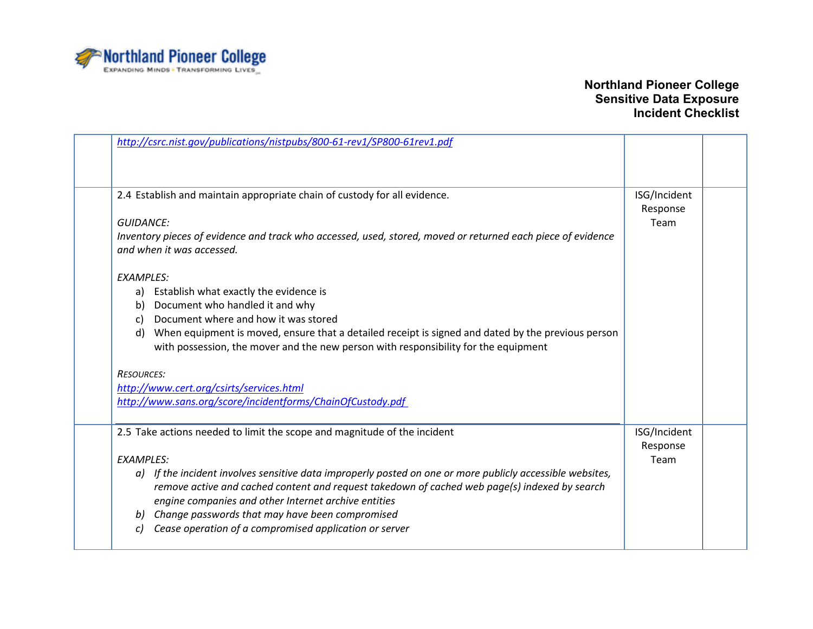

| http://csrc.nist.gov/publications/nistpubs/800-61-rev1/SP800-61rev1.pdf                                     |                  |  |
|-------------------------------------------------------------------------------------------------------------|------------------|--|
|                                                                                                             |                  |  |
|                                                                                                             |                  |  |
| 2.4 Establish and maintain appropriate chain of custody for all evidence.                                   | ISG/Incident     |  |
| <b>GUIDANCE:</b>                                                                                            | Response<br>Team |  |
|                                                                                                             |                  |  |
| Inventory pieces of evidence and track who accessed, used, stored, moved or returned each piece of evidence |                  |  |
| and when it was accessed.                                                                                   |                  |  |
| <b>EXAMPLES:</b>                                                                                            |                  |  |
| a) Establish what exactly the evidence is                                                                   |                  |  |
| Document who handled it and why<br>b)                                                                       |                  |  |
| Document where and how it was stored<br>C)                                                                  |                  |  |
| When equipment is moved, ensure that a detailed receipt is signed and dated by the previous person<br>d)    |                  |  |
| with possession, the mover and the new person with responsibility for the equipment                         |                  |  |
| <b>RESOURCES:</b>                                                                                           |                  |  |
| http://www.cert.org/csirts/services.html                                                                    |                  |  |
| http://www.sans.org/score/incidentforms/ChainOfCustody.pdf                                                  |                  |  |
|                                                                                                             |                  |  |
| 2.5 Take actions needed to limit the scope and magnitude of the incident                                    | ISG/Incident     |  |
|                                                                                                             | Response         |  |
| <b>EXAMPLES:</b>                                                                                            | Team             |  |
| a) If the incident involves sensitive data improperly posted on one or more publicly accessible websites,   |                  |  |
| remove active and cached content and request takedown of cached web page(s) indexed by search               |                  |  |
| engine companies and other Internet archive entities                                                        |                  |  |
| Change passwords that may have been compromised<br>b)                                                       |                  |  |
| Cease operation of a compromised application or server<br>c)                                                |                  |  |
|                                                                                                             |                  |  |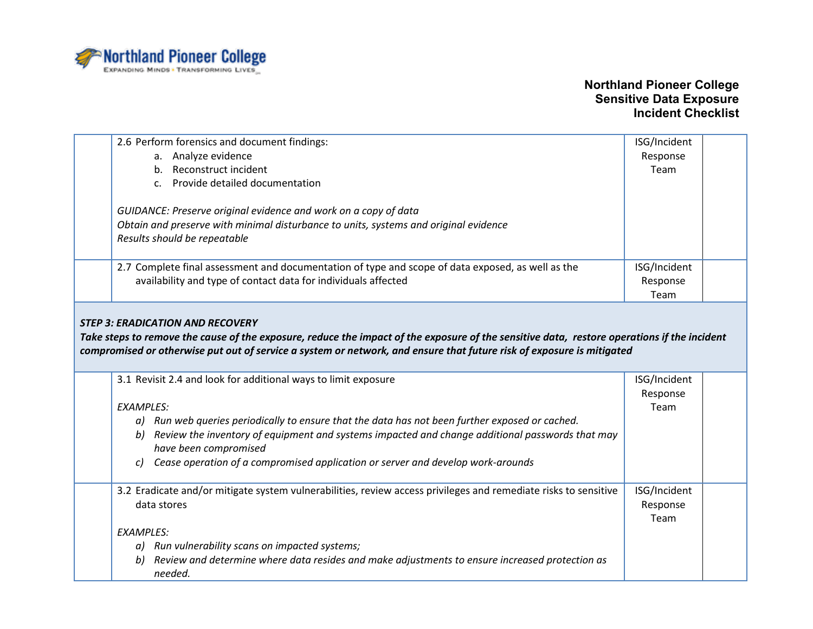

| 2.6 Perform forensics and document findings:                                                                                                                                           | ISG/Incident |  |
|----------------------------------------------------------------------------------------------------------------------------------------------------------------------------------------|--------------|--|
| a. Analyze evidence                                                                                                                                                                    | Response     |  |
| b. Reconstruct incident                                                                                                                                                                | Team         |  |
| c. Provide detailed documentation                                                                                                                                                      |              |  |
|                                                                                                                                                                                        |              |  |
| GUIDANCE: Preserve original evidence and work on a copy of data                                                                                                                        |              |  |
| Obtain and preserve with minimal disturbance to units, systems and original evidence                                                                                                   |              |  |
| Results should be repeatable                                                                                                                                                           |              |  |
|                                                                                                                                                                                        |              |  |
| 2.7 Complete final assessment and documentation of type and scope of data exposed, as well as the                                                                                      | ISG/Incident |  |
| availability and type of contact data for individuals affected                                                                                                                         | Response     |  |
|                                                                                                                                                                                        | Team         |  |
| <b>STEP 3: ERADICATION AND RECOVERY</b><br>Take steps to remove the cause of the exposure, reduce the impact of the exposure of the sensitive data, restore operations if the incident |              |  |
| compromised or otherwise put out of service a system or network, and ensure that future risk of exposure is mitigated                                                                  |              |  |
| 3.1 Revisit 2.4 and look for additional ways to limit exposure                                                                                                                         | ISG/Incident |  |
|                                                                                                                                                                                        | Response     |  |
| <b>EXAMPLES:</b>                                                                                                                                                                       | Team         |  |
| a) Run web queries periodically to ensure that the data has not been further exposed or cached.                                                                                        |              |  |
| b) Review the inventory of equipment and systems impacted and change additional passwords that may                                                                                     |              |  |
| have been compromised                                                                                                                                                                  |              |  |
| Cease operation of a compromised application or server and develop work-arounds<br>C)                                                                                                  |              |  |
|                                                                                                                                                                                        |              |  |
| 3.2 Eradicate and/or mitigate system vulnerabilities, review access privileges and remediate risks to sensitive                                                                        | ISG/Incident |  |
| data stores                                                                                                                                                                            | Response     |  |
|                                                                                                                                                                                        | Team         |  |
| <b>EXAMPLES:</b>                                                                                                                                                                       |              |  |
| a) Run vulnerability scans on impacted systems;                                                                                                                                        |              |  |
| Review and determine where data resides and make adjustments to ensure increased protection as<br>b)                                                                                   |              |  |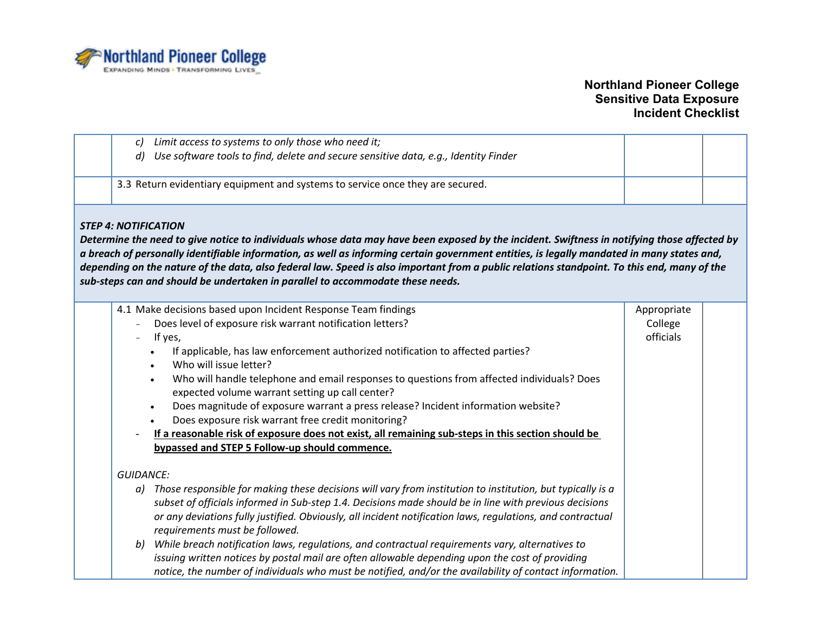

| Limit access to systems to only those who need it;<br>C)                                                                                                                                                                                                                                                                                                                                                                                                                                                                                                                                                                                                                                                                                      |                                     |  |
|-----------------------------------------------------------------------------------------------------------------------------------------------------------------------------------------------------------------------------------------------------------------------------------------------------------------------------------------------------------------------------------------------------------------------------------------------------------------------------------------------------------------------------------------------------------------------------------------------------------------------------------------------------------------------------------------------------------------------------------------------|-------------------------------------|--|
| Use software tools to find, delete and secure sensitive data, e.g., Identity Finder<br>$\overline{d}$                                                                                                                                                                                                                                                                                                                                                                                                                                                                                                                                                                                                                                         |                                     |  |
| 3.3 Return evidentiary equipment and systems to service once they are secured.                                                                                                                                                                                                                                                                                                                                                                                                                                                                                                                                                                                                                                                                |                                     |  |
| <b>STEP 4: NOTIFICATION</b><br>Determine the need to give notice to individuals whose data may have been exposed by the incident. Swiftness in notifying those affected by<br>a breach of personally identifiable information, as well as informing certain government entities, is legally mandated in many states and,<br>depending on the nature of the data, also federal law. Speed is also important from a public relations standpoint. To this end, many of the<br>sub-steps can and should be undertaken in parallel to accommodate these needs.                                                                                                                                                                                     |                                     |  |
| 4.1 Make decisions based upon Incident Response Team findings<br>Does level of exposure risk warrant notification letters?<br>If yes,<br>If applicable, has law enforcement authorized notification to affected parties?<br>$\bullet$<br>Who will issue letter?<br>Who will handle telephone and email responses to questions from affected individuals? Does<br>$\bullet$<br>expected volume warrant setting up call center?<br>Does magnitude of exposure warrant a press release? Incident information website?<br>$\bullet$<br>Does exposure risk warrant free credit monitoring?<br>If a reasonable risk of exposure does not exist, all remaining sub-steps in this section should be<br>bypassed and STEP 5 Follow-up should commence. | Appropriate<br>College<br>officials |  |
| <b>GUIDANCE:</b><br>Those responsible for making these decisions will vary from institution to institution, but typically is a<br>a)<br>subset of officials informed in Sub-step 1.4. Decisions made should be in line with previous decisions<br>or any deviations fully justified. Obviously, all incident notification laws, regulations, and contractual<br>requirements must be followed.<br>While breach notification laws, regulations, and contractual requirements vary, alternatives to<br>b)<br>issuing written notices by postal mail are often allowable depending upon the cost of providing<br>notice, the number of individuals who must be notified, and/or the availability of contact information.                         |                                     |  |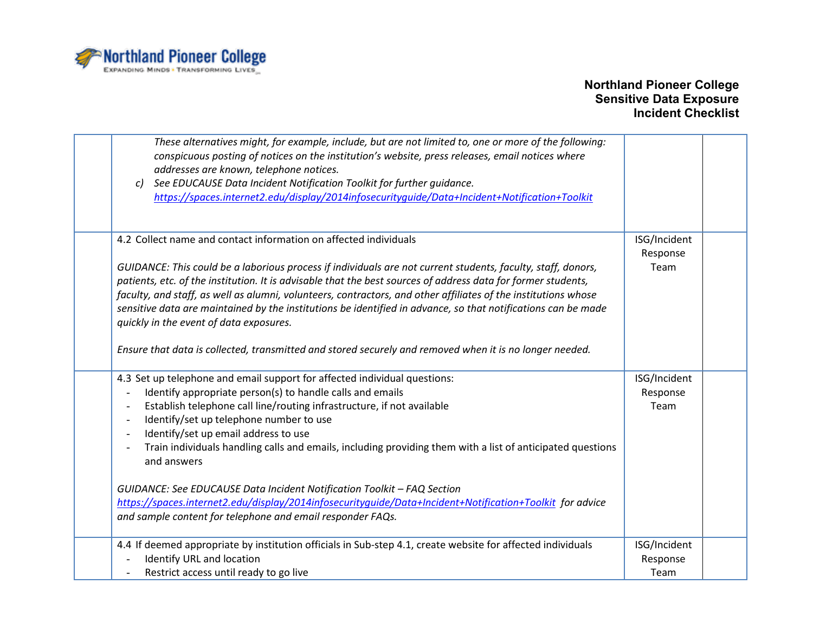

| These alternatives might, for example, include, but are not limited to, one or more of the following:<br>conspicuous posting of notices on the institution's website, press releases, email notices where<br>addresses are known, telephone notices.<br>See EDUCAUSE Data Incident Notification Toolkit for further guidance.<br>c)<br>https://spaces.internet2.edu/display/2014infosecurityquide/Data+Incident+Notification+Toolkit                                                                                                                                                                                   |                                  |
|------------------------------------------------------------------------------------------------------------------------------------------------------------------------------------------------------------------------------------------------------------------------------------------------------------------------------------------------------------------------------------------------------------------------------------------------------------------------------------------------------------------------------------------------------------------------------------------------------------------------|----------------------------------|
| 4.2 Collect name and contact information on affected individuals                                                                                                                                                                                                                                                                                                                                                                                                                                                                                                                                                       | ISG/Incident<br>Response         |
| GUIDANCE: This could be a laborious process if individuals are not current students, faculty, staff, donors,<br>patients, etc. of the institution. It is advisable that the best sources of address data for former students,<br>faculty, and staff, as well as alumni, volunteers, contractors, and other affiliates of the institutions whose<br>sensitive data are maintained by the institutions be identified in advance, so that notifications can be made<br>quickly in the event of data exposures.<br>Ensure that data is collected, transmitted and stored securely and removed when it is no longer needed. | Team                             |
| 4.3 Set up telephone and email support for affected individual questions:<br>Identify appropriate person(s) to handle calls and emails<br>Establish telephone call line/routing infrastructure, if not available<br>Identify/set up telephone number to use<br>$\overline{\phantom{a}}$<br>Identify/set up email address to use<br>Train individuals handling calls and emails, including providing them with a list of anticipated questions<br>and answers                                                                                                                                                           | ISG/Incident<br>Response<br>Team |
| GUIDANCE: See EDUCAUSE Data Incident Notification Toolkit - FAQ Section<br>https://spaces.internet2.edu/display/2014infosecurityguide/Data+Incident+Notification+Toolkit for advice<br>and sample content for telephone and email responder FAQs.                                                                                                                                                                                                                                                                                                                                                                      |                                  |
| 4.4 If deemed appropriate by institution officials in Sub-step 4.1, create website for affected individuals<br>Identify URL and location<br>Restrict access until ready to go live                                                                                                                                                                                                                                                                                                                                                                                                                                     | ISG/Incident<br>Response<br>Team |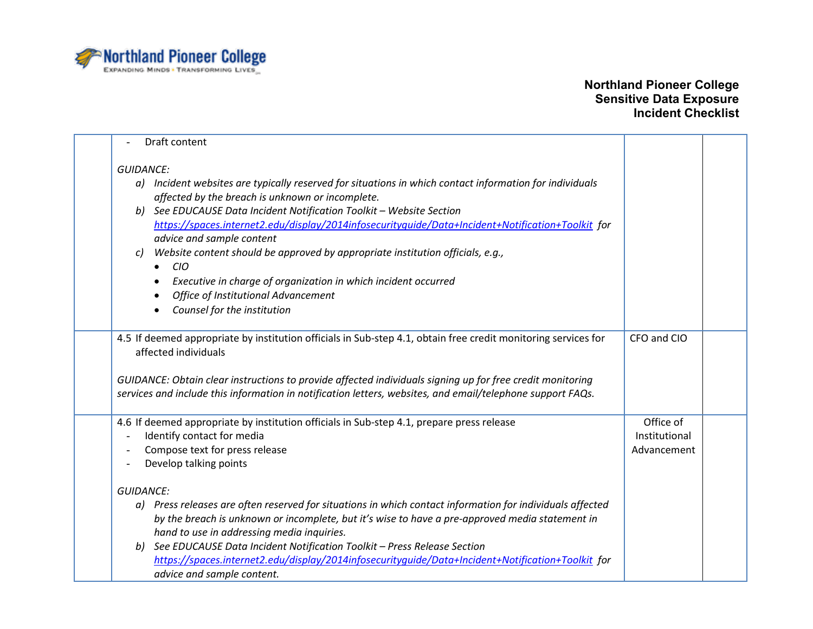

| Draft content                                                                                                                                                                                                                                                                                                                                                                                                                                                                                                                                                                                                                              |                                           |  |
|--------------------------------------------------------------------------------------------------------------------------------------------------------------------------------------------------------------------------------------------------------------------------------------------------------------------------------------------------------------------------------------------------------------------------------------------------------------------------------------------------------------------------------------------------------------------------------------------------------------------------------------------|-------------------------------------------|--|
| <b>GUIDANCE:</b><br>a) Incident websites are typically reserved for situations in which contact information for individuals<br>affected by the breach is unknown or incomplete.<br>See EDUCAUSE Data Incident Notification Toolkit - Website Section<br>b)<br>https://spaces.internet2.edu/display/2014infosecurityquide/Data+Incident+Notification+Toolkit_for<br>advice and sample content<br>Website content should be approved by appropriate institution officials, e.g.,<br>C)<br><b>CIO</b><br>Executive in charge of organization in which incident occurred<br>Office of Institutional Advancement<br>Counsel for the institution |                                           |  |
| 4.5 If deemed appropriate by institution officials in Sub-step 4.1, obtain free credit monitoring services for                                                                                                                                                                                                                                                                                                                                                                                                                                                                                                                             | CFO and CIO                               |  |
| affected individuals<br>GUIDANCE: Obtain clear instructions to provide affected individuals signing up for free credit monitoring<br>services and include this information in notification letters, websites, and email/telephone support FAQs.                                                                                                                                                                                                                                                                                                                                                                                            |                                           |  |
|                                                                                                                                                                                                                                                                                                                                                                                                                                                                                                                                                                                                                                            |                                           |  |
| 4.6 If deemed appropriate by institution officials in Sub-step 4.1, prepare press release<br>Identify contact for media<br>Compose text for press release<br>Develop talking points                                                                                                                                                                                                                                                                                                                                                                                                                                                        | Office of<br>Institutional<br>Advancement |  |
| <b>GUIDANCE:</b>                                                                                                                                                                                                                                                                                                                                                                                                                                                                                                                                                                                                                           |                                           |  |
| a) Press releases are often reserved for situations in which contact information for individuals affected<br>by the breach is unknown or incomplete, but it's wise to have a pre-approved media statement in<br>hand to use in addressing media inquiries.<br>See EDUCAUSE Data Incident Notification Toolkit - Press Release Section<br>b)<br>https://spaces.internet2.edu/display/2014infosecurityquide/Data+Incident+Notification+Toolkit_for<br>advice and sample content.                                                                                                                                                             |                                           |  |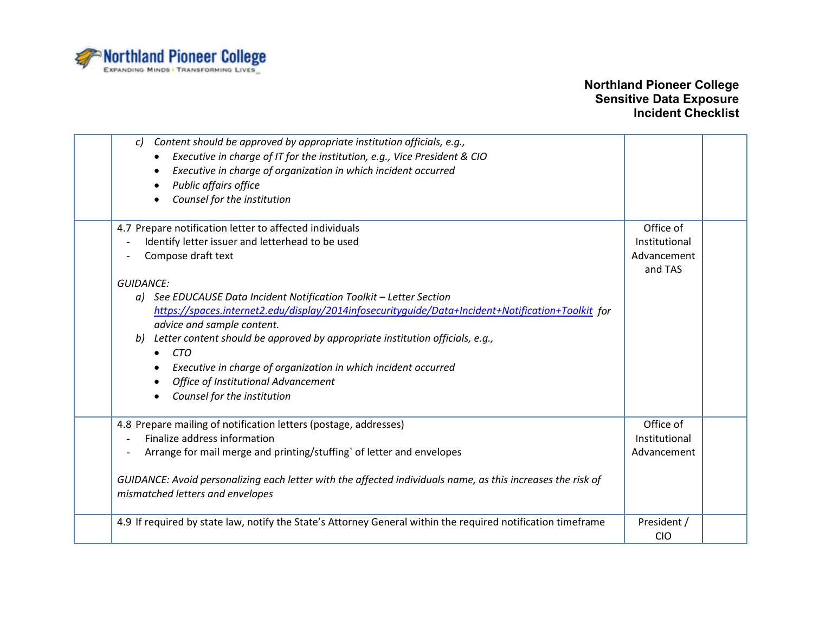

| Content should be approved by appropriate institution officials, e.g.,<br>$\mathcal{C}$<br>Executive in charge of IT for the institution, e.g., Vice President & CIO<br>Executive in charge of organization in which incident occurred<br>Public affairs office<br>Counsel for the institution |                           |  |
|------------------------------------------------------------------------------------------------------------------------------------------------------------------------------------------------------------------------------------------------------------------------------------------------|---------------------------|--|
| 4.7 Prepare notification letter to affected individuals                                                                                                                                                                                                                                        | Office of                 |  |
| Identify letter issuer and letterhead to be used                                                                                                                                                                                                                                               | Institutional             |  |
| Compose draft text                                                                                                                                                                                                                                                                             | Advancement               |  |
|                                                                                                                                                                                                                                                                                                | and TAS                   |  |
| <b>GUIDANCE:</b>                                                                                                                                                                                                                                                                               |                           |  |
| a) See EDUCAUSE Data Incident Notification Toolkit - Letter Section                                                                                                                                                                                                                            |                           |  |
| https://spaces.internet2.edu/display/2014infosecurityquide/Data+Incident+Notification+Toolkit for                                                                                                                                                                                              |                           |  |
| advice and sample content.                                                                                                                                                                                                                                                                     |                           |  |
| Letter content should be approved by appropriate institution officials, e.g.,<br>b)                                                                                                                                                                                                            |                           |  |
| <b>CTO</b>                                                                                                                                                                                                                                                                                     |                           |  |
| Executive in charge of organization in which incident occurred                                                                                                                                                                                                                                 |                           |  |
| <b>Office of Institutional Advancement</b>                                                                                                                                                                                                                                                     |                           |  |
| Counsel for the institution                                                                                                                                                                                                                                                                    |                           |  |
| 4.8 Prepare mailing of notification letters (postage, addresses)                                                                                                                                                                                                                               | Office of                 |  |
| Finalize address information                                                                                                                                                                                                                                                                   | Institutional             |  |
| Arrange for mail merge and printing/stuffing` of letter and envelopes                                                                                                                                                                                                                          | Advancement               |  |
| GUIDANCE: Avoid personalizing each letter with the affected individuals name, as this increases the risk of<br>mismatched letters and envelopes                                                                                                                                                |                           |  |
| 4.9 If required by state law, notify the State's Attorney General within the required notification timeframe                                                                                                                                                                                   | President /<br><b>CIO</b> |  |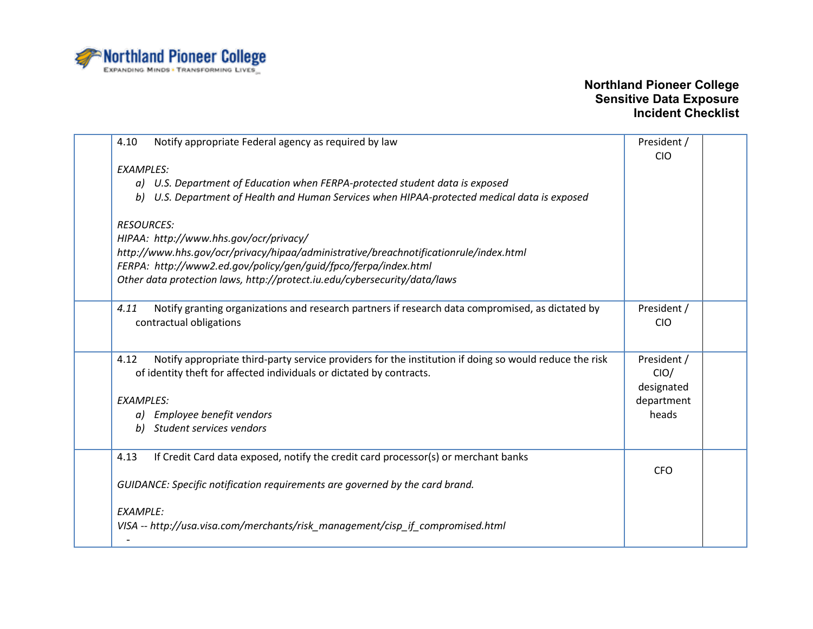

| 4.10<br>Notify appropriate Federal agency as required by law                                                   | President / |  |
|----------------------------------------------------------------------------------------------------------------|-------------|--|
|                                                                                                                | <b>CIO</b>  |  |
| <b>EXAMPLES:</b>                                                                                               |             |  |
| a) U.S. Department of Education when FERPA-protected student data is exposed                                   |             |  |
| U.S. Department of Health and Human Services when HIPAA-protected medical data is exposed<br>b)                |             |  |
| <b>RESOURCES:</b>                                                                                              |             |  |
| HIPAA: http://www.hhs.gov/ocr/privacy/                                                                         |             |  |
| http://www.hhs.gov/ocr/privacy/hipaa/administrative/breachnotificationrule/index.html                          |             |  |
| FERPA: http://www2.ed.gov/policy/gen/guid/fpco/ferpa/index.html                                                |             |  |
| Other data protection laws, http://protect.iu.edu/cybersecurity/data/laws                                      |             |  |
|                                                                                                                |             |  |
| Notify granting organizations and research partners if research data compromised, as dictated by<br>4.11       | President / |  |
| contractual obligations                                                                                        | <b>CIO</b>  |  |
|                                                                                                                |             |  |
|                                                                                                                |             |  |
| 4.12<br>Notify appropriate third-party service providers for the institution if doing so would reduce the risk | President / |  |
| of identity theft for affected individuals or dictated by contracts.                                           | CIO/        |  |
|                                                                                                                | designated  |  |
| <b>EXAMPLES:</b>                                                                                               | department  |  |
| a) Employee benefit vendors                                                                                    | heads       |  |
| Student services vendors<br>b)                                                                                 |             |  |
|                                                                                                                |             |  |
| If Credit Card data exposed, notify the credit card processor(s) or merchant banks<br>4.13                     |             |  |
|                                                                                                                | <b>CFO</b>  |  |
| GUIDANCE: Specific notification requirements are governed by the card brand.                                   |             |  |
|                                                                                                                |             |  |
| <b>EXAMPLE:</b>                                                                                                |             |  |
| VISA -- http://usa.visa.com/merchants/risk_management/cisp_if_compromised.html                                 |             |  |
|                                                                                                                |             |  |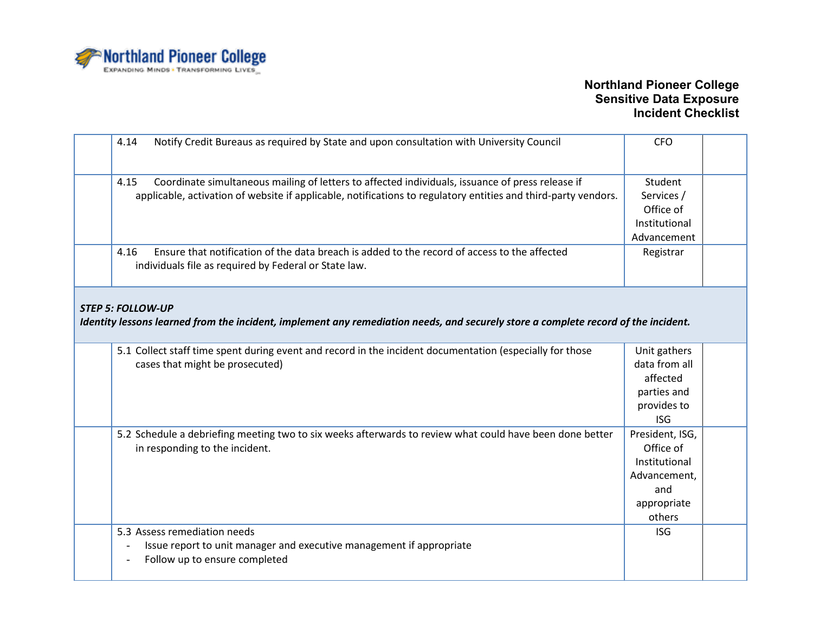

| 4.14<br>Notify Credit Bureaus as required by State and upon consultation with University Council                                                                                                                           | <b>CFO</b>                                                                                    |  |
|----------------------------------------------------------------------------------------------------------------------------------------------------------------------------------------------------------------------------|-----------------------------------------------------------------------------------------------|--|
| 4.15<br>Coordinate simultaneous mailing of letters to affected individuals, issuance of press release if<br>applicable, activation of website if applicable, notifications to regulatory entities and third-party vendors. | Student<br>Services /<br>Office of<br>Institutional<br>Advancement                            |  |
| Ensure that notification of the data breach is added to the record of access to the affected<br>4.16<br>individuals file as required by Federal or State law.                                                              | Registrar                                                                                     |  |
| <b>STEP 5: FOLLOW-UP</b><br>Identity lessons learned from the incident, implement any remediation needs, and securely store a complete record of the incident.                                                             |                                                                                               |  |
| 5.1 Collect staff time spent during event and record in the incident documentation (especially for those<br>cases that might be prosecuted)                                                                                | Unit gathers<br>data from all<br>affected<br>parties and<br>provides to<br><b>ISG</b>         |  |
| 5.2 Schedule a debriefing meeting two to six weeks afterwards to review what could have been done better<br>in responding to the incident.                                                                                 | President, ISG,<br>Office of<br>Institutional<br>Advancement,<br>and<br>appropriate<br>others |  |
| 5.3 Assess remediation needs<br>Issue report to unit manager and executive management if appropriate<br>Follow up to ensure completed                                                                                      | <b>ISG</b>                                                                                    |  |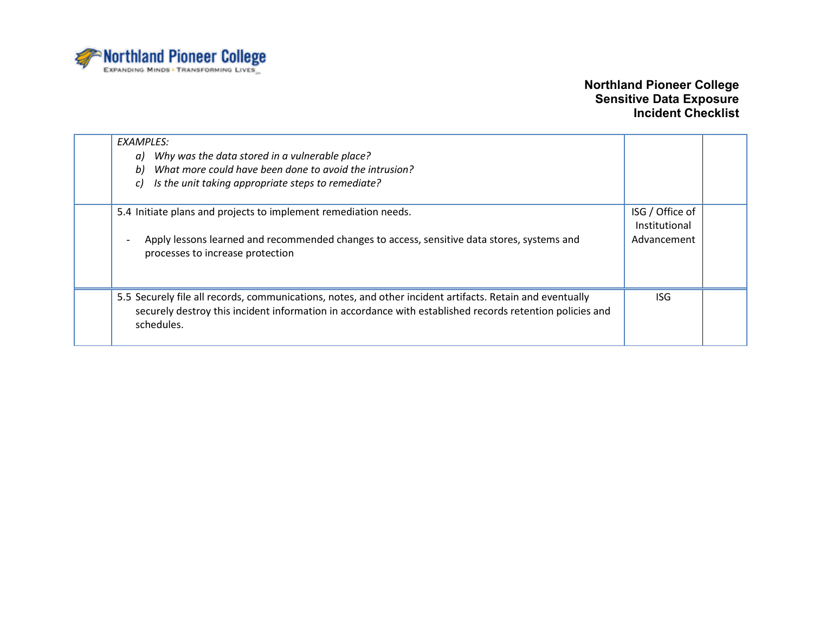

| EXAMPLES:<br>Why was the data stored in a vulnerable place?<br>a)<br>What more could have been done to avoid the intrusion?<br>b)<br>Is the unit taking appropriate steps to remediate?<br>C)                                       |                                                 |  |
|-------------------------------------------------------------------------------------------------------------------------------------------------------------------------------------------------------------------------------------|-------------------------------------------------|--|
| 5.4 Initiate plans and projects to implement remediation needs.<br>Apply lessons learned and recommended changes to access, sensitive data stores, systems and<br>processes to increase protection                                  | ISG / Office of<br>Institutional<br>Advancement |  |
| 5.5 Securely file all records, communications, notes, and other incident artifacts. Retain and eventually<br>securely destroy this incident information in accordance with established records retention policies and<br>schedules. | ISG.                                            |  |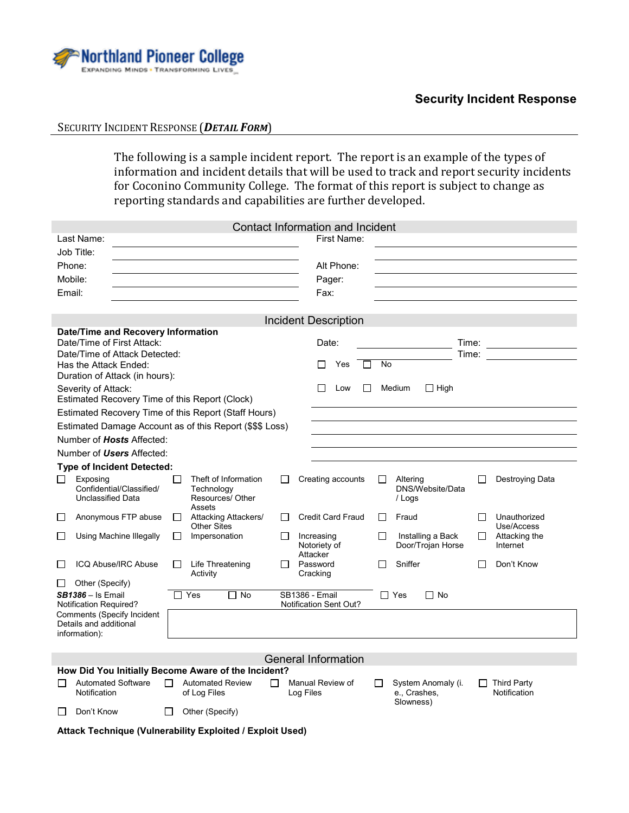

#### **Security Incident Response**

#### SECURITY INCIDENT RESPONSE (*DETAIL FORM*)

The following is a sample incident report. The report is an example of the types of information and incident details that will be used to track and report security incidents for Coconino Community College. The format of this report is subject to change as reporting standards and capabilities are further developed.

|                                                                                                   |                                                                                                  |              |                                                                  |                                                        | <b>Contact Information and Incident</b> |                    |                                                 |              |                                    |
|---------------------------------------------------------------------------------------------------|--------------------------------------------------------------------------------------------------|--------------|------------------------------------------------------------------|--------------------------------------------------------|-----------------------------------------|--------------------|-------------------------------------------------|--------------|------------------------------------|
|                                                                                                   | Last Name:                                                                                       |              |                                                                  |                                                        | First Name:                             |                    |                                                 |              |                                    |
|                                                                                                   | Job Title:                                                                                       |              |                                                                  |                                                        |                                         |                    |                                                 |              |                                    |
| Phone:                                                                                            |                                                                                                  |              |                                                                  |                                                        | Alt Phone:                              |                    |                                                 |              |                                    |
| Mobile:                                                                                           |                                                                                                  |              |                                                                  |                                                        | Pager:                                  |                    |                                                 |              |                                    |
| Email:                                                                                            |                                                                                                  |              |                                                                  |                                                        | Fax:                                    |                    |                                                 |              |                                    |
|                                                                                                   |                                                                                                  |              |                                                                  |                                                        |                                         |                    |                                                 |              |                                    |
|                                                                                                   |                                                                                                  |              |                                                                  |                                                        | <b>Incident Description</b>             |                    |                                                 |              |                                    |
| Date/Time and Recovery Information<br>Date/Time of First Attack:<br>Date/Time of Attack Detected: |                                                                                                  |              |                                                                  | Date:                                                  |                                         |                    | Time:<br>Time:                                  |              |                                    |
|                                                                                                   | Has the Attack Ended:<br>Duration of Attack (in hours):                                          |              |                                                                  |                                                        | Yes                                     | <b>No</b>          |                                                 |              |                                    |
|                                                                                                   | Severity of Attack:<br>Estimated Recovery Time of this Report (Clock)                            |              |                                                                  |                                                        | $\mathsf{L}$<br>$\mathsf{L}$<br>Low     |                    | Medium<br>$\Box$ High                           |              |                                    |
|                                                                                                   | Estimated Recovery Time of this Report (Staff Hours)                                             |              |                                                                  |                                                        |                                         |                    |                                                 |              |                                    |
|                                                                                                   | Estimated Damage Account as of this Report (\$\$\$ Loss)                                         |              |                                                                  |                                                        |                                         |                    |                                                 |              |                                    |
|                                                                                                   | Number of <b>Hosts</b> Affected:                                                                 |              |                                                                  |                                                        |                                         |                    |                                                 |              |                                    |
|                                                                                                   | Number of <i>Users</i> Affected:                                                                 |              |                                                                  |                                                        |                                         |                    |                                                 |              |                                    |
|                                                                                                   | <b>Type of Incident Detected:</b>                                                                |              |                                                                  |                                                        |                                         |                    |                                                 |              |                                    |
|                                                                                                   | Exposing<br>Confidential/Classified/<br><b>Unclassified Data</b>                                 |              | Theft of Information<br>Technology<br>Resources/ Other<br>Assets |                                                        | Creating accounts                       | ΙI                 | Altering<br>DNS/Website/Data<br>/ Logs          |              | Destroying Data                    |
| □                                                                                                 | Anonymous FTP abuse                                                                              | $\Box$       | Attacking Attackers/<br><b>Other Sites</b>                       | П                                                      | <b>Credit Card Fraud</b>                | D                  | Fraud                                           | $\mathbf{L}$ | Unauthorized<br>Use/Access         |
| $\Box$                                                                                            | Using Machine Illegally                                                                          | $\perp$      | Impersonation                                                    | $\perp$                                                | Increasing<br>Notoriety of              | $\mathsf{L}$       | Installing a Back<br>Door/Trojan Horse          | $\perp$      | Attacking the<br>Internet          |
|                                                                                                   | ICQ Abuse/IRC Abuse                                                                              | П            | Life Threatening<br>Activity                                     | $\mathbf{I}$                                           | Attacker<br>Password<br>Cracking        | П                  | Sniffer                                         |              | Don't Know                         |
| П                                                                                                 | Other (Specify)                                                                                  |              |                                                                  |                                                        |                                         |                    |                                                 |              |                                    |
| $SB1386 -$ Is Email<br>Yes<br>Π No<br><b>Notification Required?</b>                               |                                                                                                  |              |                                                                  | <b>SB1386 - Email</b><br><b>Notification Sent Out?</b> |                                         | $\Box$ Yes<br>Π No |                                                 |              |                                    |
| Comments (Specify Incident<br>Details and additional<br>information):                             |                                                                                                  |              |                                                                  |                                                        |                                         |                    |                                                 |              |                                    |
|                                                                                                   |                                                                                                  |              |                                                                  |                                                        |                                         |                    |                                                 |              |                                    |
| <b>General Information</b>                                                                        |                                                                                                  |              |                                                                  |                                                        |                                         |                    |                                                 |              |                                    |
| П                                                                                                 | How Did You Initially Become Aware of the Incident?<br><b>Automated Software</b><br>Notification | П            | <b>Automated Review</b><br>of Log Files                          | П                                                      | Manual Review of<br>Log Files           | П                  | System Anomaly (i.<br>e., Crashes,<br>Slowness) | ΙI           | <b>Third Party</b><br>Notification |
| ⊔                                                                                                 | Don't Know                                                                                       | $\mathsf{I}$ | Other (Specify)                                                  |                                                        |                                         |                    |                                                 |              |                                    |

**Attack Technique (Vulnerability Exploited / Exploit Used)**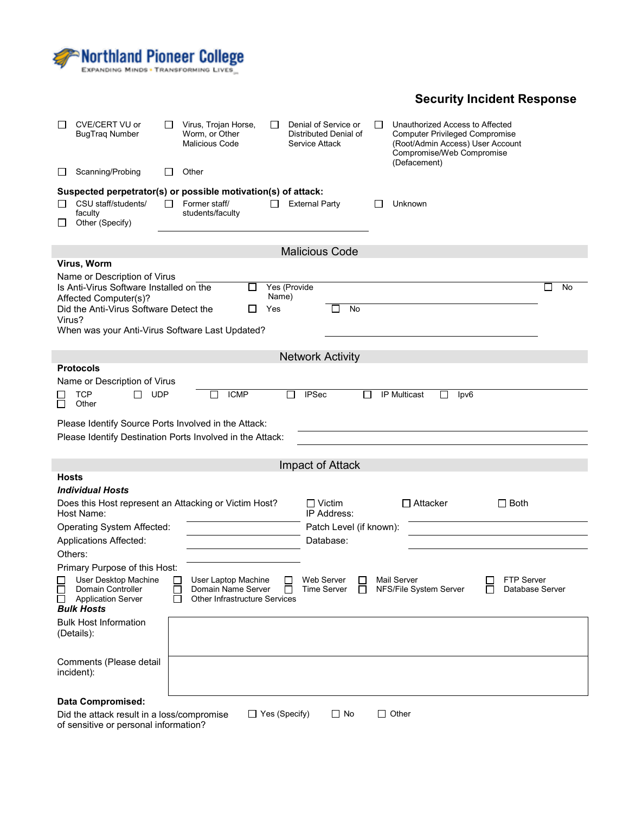

# **Security Incident Response**

| CVE/CERT VU or<br>BugTrag Number                                   |                                                              | Virus, Trojan Horse,<br>Worm, or Other<br><b>Malicious Code</b> | ΙI           | Denial of Service or<br>Distributed Denial of<br>Service Attack |              | Unauthorized Access to Affected<br><b>Computer Privileged Compromise</b><br>(Root/Admin Access) User Account<br>Compromise/Web Compromise<br>(Defacement) |                   |
|--------------------------------------------------------------------|--------------------------------------------------------------|-----------------------------------------------------------------|--------------|-----------------------------------------------------------------|--------------|-----------------------------------------------------------------------------------------------------------------------------------------------------------|-------------------|
| Scanning/Probing                                                   |                                                              | Other                                                           |              |                                                                 |              |                                                                                                                                                           |                   |
|                                                                    |                                                              | Suspected perpetrator(s) or possible motivation(s) of attack:   |              |                                                                 |              |                                                                                                                                                           |                   |
| CSU staff/students/<br>faculty<br>Other (Specify)                  |                                                              | Former staff/<br>students/faculty                               |              | <b>External Party</b>                                           |              | Unknown                                                                                                                                                   |                   |
|                                                                    |                                                              |                                                                 |              | <b>Malicious Code</b>                                           |              |                                                                                                                                                           |                   |
| Virus, Worm                                                        |                                                              |                                                                 |              |                                                                 |              |                                                                                                                                                           |                   |
| Name or Description of Virus                                       |                                                              |                                                                 |              |                                                                 |              |                                                                                                                                                           |                   |
| Is Anti-Virus Software Installed on the                            |                                                              | ΙI                                                              | Yes (Provide |                                                                 |              |                                                                                                                                                           | No                |
| Affected Computer(s)?<br>Did the Anti-Virus Software Detect the    |                                                              |                                                                 | Name)<br>Yes | No                                                              |              |                                                                                                                                                           |                   |
| Virus?                                                             |                                                              |                                                                 |              |                                                                 |              |                                                                                                                                                           |                   |
|                                                                    |                                                              | When was your Anti-Virus Software Last Updated?                 |              |                                                                 |              |                                                                                                                                                           |                   |
|                                                                    |                                                              |                                                                 |              |                                                                 |              |                                                                                                                                                           |                   |
| <b>Protocols</b>                                                   |                                                              |                                                                 |              | <b>Network Activity</b>                                         |              |                                                                                                                                                           |                   |
| Name or Description of Virus                                       |                                                              |                                                                 |              |                                                                 |              |                                                                                                                                                           |                   |
| <b>TCP</b>                                                         | <b>UDP</b><br>l 1                                            | <b>ICMP</b><br>$\mathbf{I}$                                     | $\mathsf{I}$ | <b>IPSec</b>                                                    | $\mathsf{L}$ | <b>IP Multicast</b><br>lpv6<br>$\mathsf{L}$                                                                                                               |                   |
| Other<br>$\mathsf{L}$                                              |                                                              |                                                                 |              |                                                                 |              |                                                                                                                                                           |                   |
|                                                                    |                                                              | Please Identify Source Ports Involved in the Attack:            |              |                                                                 |              |                                                                                                                                                           |                   |
|                                                                    |                                                              | Please Identify Destination Ports Involved in the Attack:       |              |                                                                 |              |                                                                                                                                                           |                   |
|                                                                    |                                                              |                                                                 |              |                                                                 |              |                                                                                                                                                           |                   |
|                                                                    |                                                              |                                                                 |              | Impact of Attack                                                |              |                                                                                                                                                           |                   |
| <b>Hosts</b>                                                       |                                                              |                                                                 |              |                                                                 |              |                                                                                                                                                           |                   |
| <b>Individual Hosts</b>                                            |                                                              |                                                                 |              | $\Box$ Victim                                                   |              | $\Box$ Attacker                                                                                                                                           | $\Box$ Both       |
| Host Name:                                                         |                                                              | Does this Host represent an Attacking or Victim Host?           |              | IP Address:                                                     |              |                                                                                                                                                           |                   |
|                                                                    | <b>Operating System Affected:</b><br>Patch Level (if known): |                                                                 |              |                                                                 |              |                                                                                                                                                           |                   |
| <b>Applications Affected:</b>                                      |                                                              |                                                                 |              | Database:                                                       |              |                                                                                                                                                           |                   |
| Others:                                                            |                                                              |                                                                 |              |                                                                 |              |                                                                                                                                                           |                   |
| Primary Purpose of this Host:                                      |                                                              |                                                                 |              |                                                                 |              |                                                                                                                                                           |                   |
| User Desktop Machine                                               |                                                              | User Laptop Machine                                             |              | Web Server                                                      |              | Mail Server                                                                                                                                               | <b>FTP Server</b> |
| $\Box$<br>Domain Controller<br>$\Box$<br><b>Application Server</b> | Г                                                            | Domain Name Server<br><b>Other Infrastructure Services</b>      | $\mathsf{L}$ | <b>Time Server</b>                                              |              | NFS/File System Server<br>П                                                                                                                               | Database Server   |
| <b>Bulk Hosts</b>                                                  |                                                              |                                                                 |              |                                                                 |              |                                                                                                                                                           |                   |
| <b>Bulk Host Information</b>                                       |                                                              |                                                                 |              |                                                                 |              |                                                                                                                                                           |                   |
| (Details):                                                         |                                                              |                                                                 |              |                                                                 |              |                                                                                                                                                           |                   |
|                                                                    |                                                              |                                                                 |              |                                                                 |              |                                                                                                                                                           |                   |
| Comments (Please detail                                            |                                                              |                                                                 |              |                                                                 |              |                                                                                                                                                           |                   |
|                                                                    |                                                              |                                                                 |              |                                                                 |              |                                                                                                                                                           |                   |
| incident):                                                         |                                                              |                                                                 |              |                                                                 |              |                                                                                                                                                           |                   |
| <b>Data Compromised:</b>                                           |                                                              |                                                                 |              |                                                                 |              |                                                                                                                                                           |                   |

of sensitive or personal information?